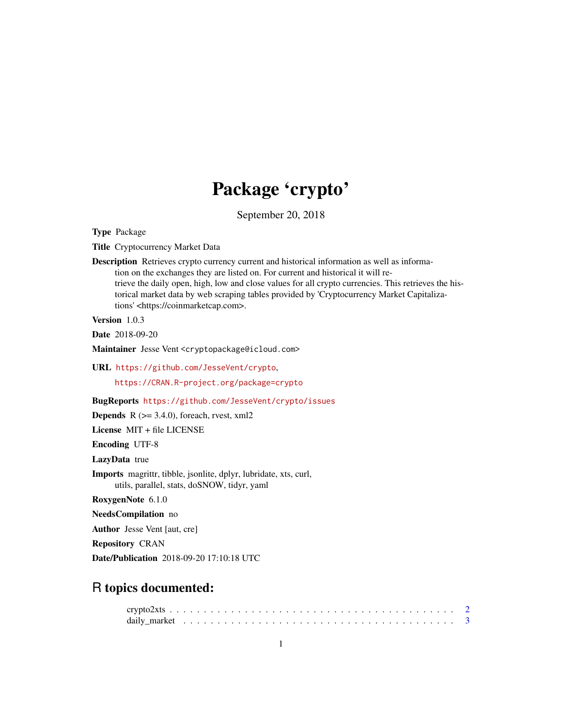## Package 'crypto'

September 20, 2018

Type Package

Title Cryptocurrency Market Data

Description Retrieves crypto currency current and historical information as well as information on the exchanges they are listed on. For current and historical it will retrieve the daily open, high, low and close values for all crypto currencies. This retrieves the historical market data by web scraping tables provided by 'Cryptocurrency Market Capitalizations' <https://coinmarketcap.com>.

Version 1.0.3

Date 2018-09-20

Maintainer Jesse Vent <cryptopackage@icloud.com>

URL <https://github.com/JesseVent/crypto>, <https://CRAN.R-project.org/package=crypto>

BugReports <https://github.com/JesseVent/crypto/issues>

**Depends** R  $(>= 3.4.0)$ , foreach, rvest, xml2

License MIT + file LICENSE

Encoding UTF-8

LazyData true

Imports magrittr, tibble, jsonlite, dplyr, lubridate, xts, curl, utils, parallel, stats, doSNOW, tidyr, yaml

RoxygenNote 6.1.0

NeedsCompilation no

Author Jesse Vent [aut, cre]

Repository CRAN

Date/Publication 2018-09-20 17:10:18 UTC

### R topics documented: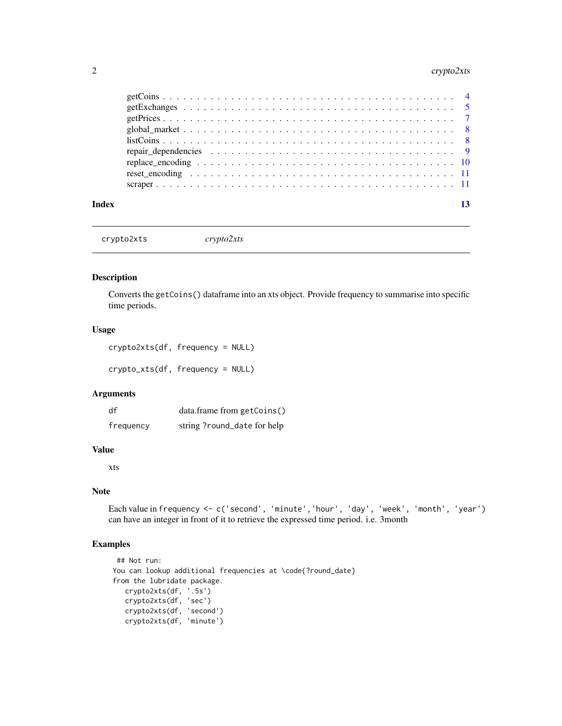#### <span id="page-1-0"></span>2 crypto2xts

|       | $listCoins$ 8 |  |
|-------|---------------|--|
|       |               |  |
|       |               |  |
|       |               |  |
|       |               |  |
| Index |               |  |

crypto2xts *crypto2xts*

#### Description

Converts the getCoins() dataframe into an xts object. Provide frequency to summarise into specific time periods.

#### Usage

crypto2xts(df, frequency = NULL) crypto\_xts(df, frequency = NULL)

#### Arguments

| df        | data.frame from getCoins()  |
|-----------|-----------------------------|
| frequency | string ?round_date for help |

#### Value

xts

#### Note

Each value in frequency <- c('second', 'minute','hour', 'day', 'week', 'month', 'year') can have an integer in front of it to retrieve the expressed time period. i.e. 3month

```
## Not run:
You can lookup additional frequencies at \code{?round_date}
from the lubridate package.
   crypto2xts(df, '.5s')
   crypto2xts(df, 'sec')
   crypto2xts(df, 'second')
  crypto2xts(df, 'minute')
```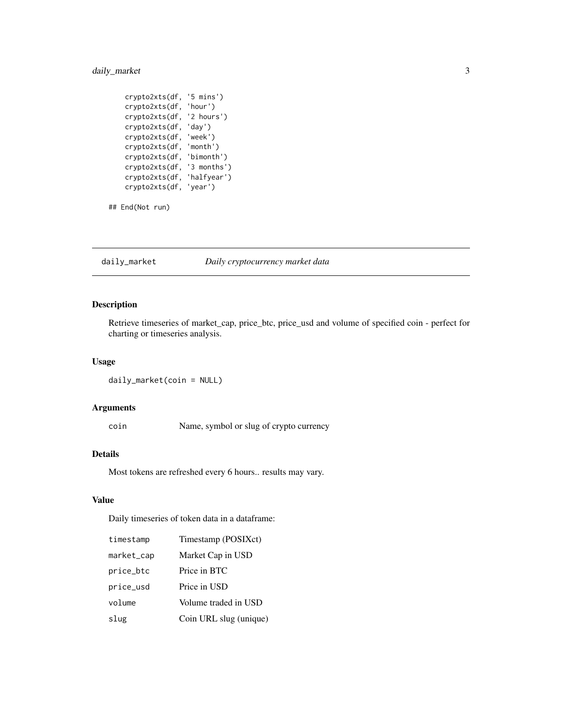#### <span id="page-2-0"></span>daily\_market 3

```
crypto2xts(df, '5 mins')
crypto2xts(df, 'hour')
crypto2xts(df, '2 hours')
crypto2xts(df, 'day')
crypto2xts(df, 'week')
crypto2xts(df, 'month')
crypto2xts(df, 'bimonth')
crypto2xts(df, '3 months')
crypto2xts(df, 'halfyear')
crypto2xts(df, 'year')
```

```
## End(Not run)
```
daily\_market *Daily cryptocurrency market data*

#### Description

Retrieve timeseries of market\_cap, price\_btc, price\_usd and volume of specified coin - perfect for charting or timeseries analysis.

#### Usage

```
daily_market(coin = NULL)
```
#### Arguments

coin Name, symbol or slug of crypto currency

#### Details

Most tokens are refreshed every 6 hours.. results may vary.

#### Value

Daily timeseries of token data in a dataframe:

| timestamp  | Timestamp (POSIXct)    |
|------------|------------------------|
| market_cap | Market Cap in USD      |
| price_btc  | Price in BTC           |
| price_usd  | Price in USD           |
| volume     | Volume traded in USD   |
| slug       | Coin URL slug (unique) |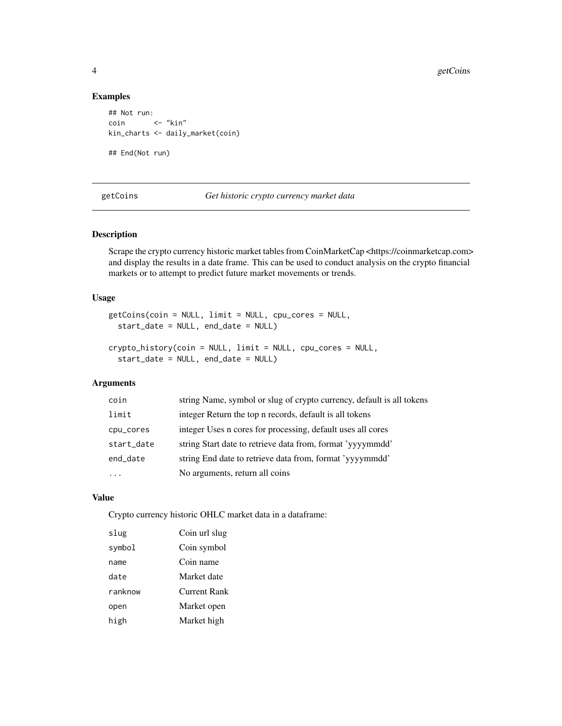#### Examples

```
## Not run:
coin <- "kin"
kin_charts <- daily_market(coin)
## End(Not run)
```
getCoins *Get historic crypto currency market data*

#### Description

Scrape the crypto currency historic market tables from CoinMarketCap <https://coinmarketcap.com> and display the results in a date frame. This can be used to conduct analysis on the crypto financial markets or to attempt to predict future market movements or trends.

#### Usage

```
getCoins(coin = NULL, limit = NULL, cpu_cores = NULL,
  start_date = NULL, end_date = NULL)
```

```
crypto_history(coin = NULL, limit = NULL, cpu_cores = NULL,
  start_date = NULL, end_date = NULL)
```
#### Arguments

| coin       | string Name, symbol or slug of crypto currency, default is all tokens |
|------------|-----------------------------------------------------------------------|
| limit      | integer Return the top n records, default is all tokens               |
| cpu_cores  | integer Uses n cores for processing, default uses all cores           |
| start_date | string Start date to retrieve data from, format 'yyyymmdd'            |
| end_date   | string End date to retrieve data from, format 'yyyymmdd'              |
| .          | No arguments, return all coins                                        |

#### Value

Crypto currency historic OHLC market data in a dataframe:

| slug    | Coin url slug |
|---------|---------------|
| symbol  | Coin symbol   |
| name    | Coin name     |
| date    | Market date   |
| ranknow | Current Rank  |
| open    | Market open   |
| high    | Market high   |
|         |               |

<span id="page-3-0"></span>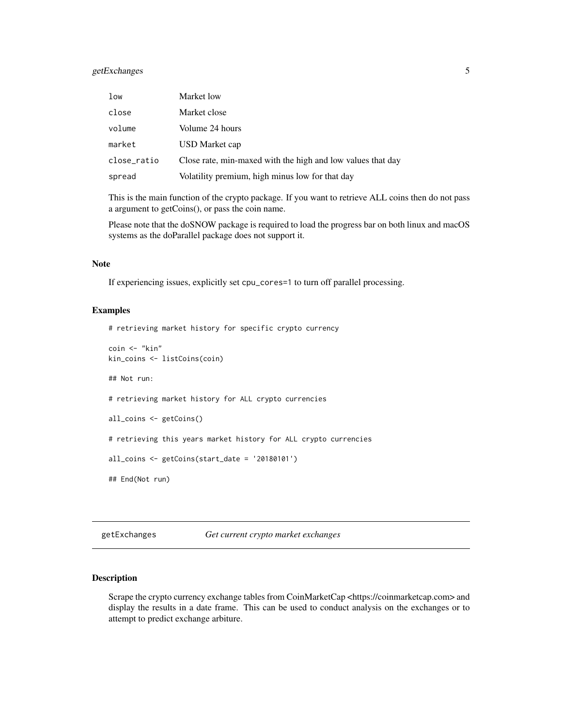#### <span id="page-4-0"></span>getExchanges 5

| low         | Market low                                                  |
|-------------|-------------------------------------------------------------|
| close       | Market close                                                |
| volume      | Volume 24 hours                                             |
| market      | USD Market cap                                              |
| close_ratio | Close rate, min-maxed with the high and low values that day |
| spread      | Volatility premium, high minus low for that day             |

This is the main function of the crypto package. If you want to retrieve ALL coins then do not pass a argument to getCoins(), or pass the coin name.

Please note that the doSNOW package is required to load the progress bar on both linux and macOS systems as the doParallel package does not support it.

#### Note

If experiencing issues, explicitly set cpu\_cores=1 to turn off parallel processing.

#### Examples

# retrieving market history for specific crypto currency

```
coin <- "kin"
kin_coins <- listCoins(coin)
## Not run:
# retrieving market history for ALL crypto currencies
all_coins <- getCoins()
# retrieving this years market history for ALL crypto currencies
all_coins <- getCoins(start_date = '20180101')
## End(Not run)
```
getExchanges *Get current crypto market exchanges*

#### **Description**

Scrape the crypto currency exchange tables from CoinMarketCap <https://coinmarketcap.com> and display the results in a date frame. This can be used to conduct analysis on the exchanges or to attempt to predict exchange arbiture.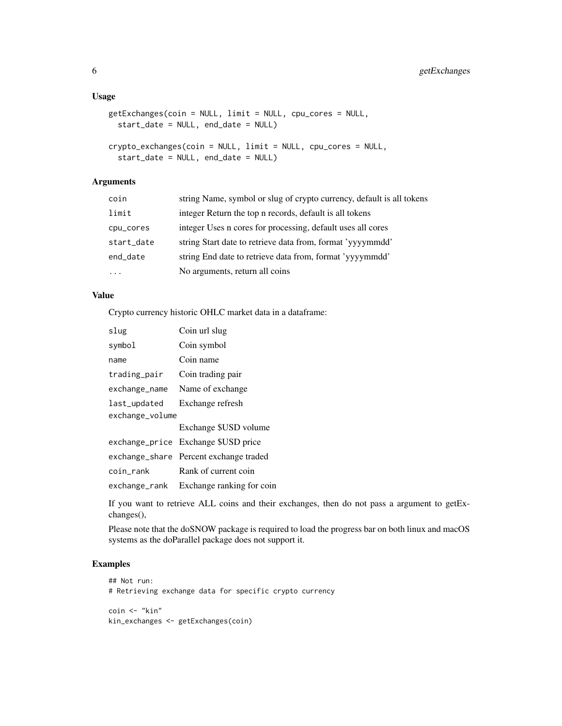#### Usage

```
getExchanges(coin = NULL, limit = NULL, cpu_cores = NULL,
  start_date = NULL, end_date = NULL)
crypto_exchanges(coin = NULL, limit = NULL, cpu_cores = NULL,
  start_date = NULL, end_date = NULL)
```
#### Arguments

| coin       | string Name, symbol or slug of crypto currency, default is all tokens |
|------------|-----------------------------------------------------------------------|
| limit      | integer Return the top n records, default is all tokens               |
| cpu_cores  | integer Uses n cores for processing, default uses all cores           |
| start_date | string Start date to retrieve data from, format 'yyyymmdd'            |
| end_date   | string End date to retrieve data from, format 'yyyymmdd'              |
| .          | No arguments, return all coins                                        |

#### Value

Crypto currency historic OHLC market data in a dataframe:

| slug            | Coin url slug                          |
|-----------------|----------------------------------------|
| symbol          | Coin symbol                            |
| name            | Coin name                              |
| trading_pair    | Coin trading pair                      |
| exchange_name   | Name of exchange                       |
| last_updated    | Exchange refresh                       |
| exchange_volume |                                        |
|                 | Exchange \$USD volume                  |
|                 | exchange_price Exchange \$USD price    |
|                 | exchange_share Percent exchange traded |
| coin_rank       | Rank of current coin                   |
| exchange_rank   | Exchange ranking for coin              |

If you want to retrieve ALL coins and their exchanges, then do not pass a argument to getExchanges(),

Please note that the doSNOW package is required to load the progress bar on both linux and macOS systems as the doParallel package does not support it.

```
## Not run:
# Retrieving exchange data for specific crypto currency
coin <- "kin"
kin_exchanges <- getExchanges(coin)
```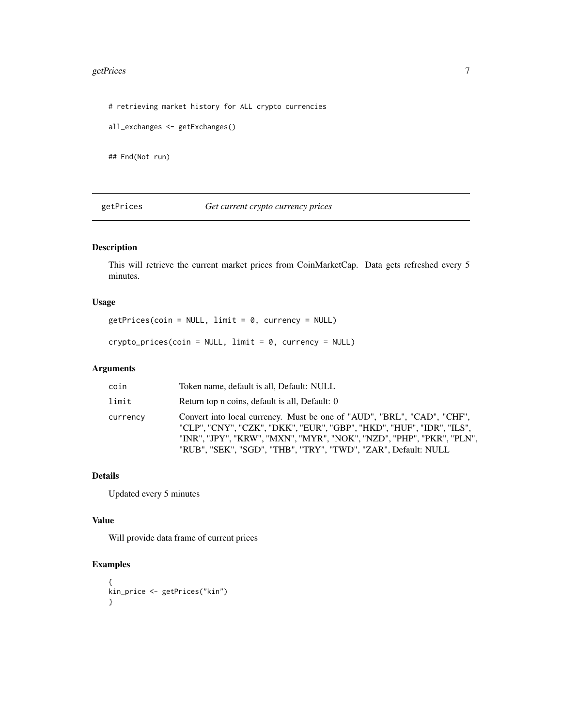#### <span id="page-6-0"></span>getPrices 7

# retrieving market history for ALL crypto currencies

all\_exchanges <- getExchanges()

## End(Not run)

getPrices *Get current crypto currency prices*

#### Description

This will retrieve the current market prices from CoinMarketCap. Data gets refreshed every 5 minutes.

#### Usage

getPrices(coin = NULL, limit = 0, currency = NULL)

crypto\_prices(coin = NULL, limit = 0, currency = NULL)

#### Arguments

| coin     | Token name, default is all, Default: NULL                                                                                                                                                                                                                                                   |
|----------|---------------------------------------------------------------------------------------------------------------------------------------------------------------------------------------------------------------------------------------------------------------------------------------------|
| limit    | Return top n coins, default is all, Default: 0                                                                                                                                                                                                                                              |
| currency | Convert into local currency. Must be one of "AUD", "BRL", "CAD", "CHF",<br>"CLP", "CNY", "CZK", "DKK", "EUR", "GBP", "HKD", "HUF", "IDR", "ILS",<br>"INR", "JPY", "KRW", "MXN", "MYR", "NOK", "NZD", "PHP", "PKR", "PLN",<br>"RUB", "SEK", "SGD", "THB", "TRY", "TWD", "ZAR", Default: NULL |

#### Details

Updated every 5 minutes

#### Value

Will provide data frame of current prices

```
{
kin_price <- getPrices("kin")
}
```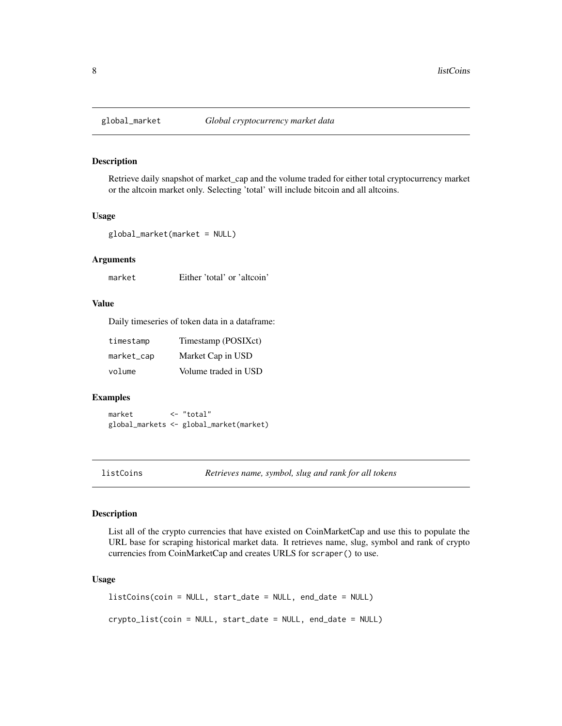<span id="page-7-0"></span>

#### Description

Retrieve daily snapshot of market\_cap and the volume traded for either total cryptocurrency market or the altcoin market only. Selecting 'total' will include bitcoin and all altcoins.

#### Usage

```
global_market(market = NULL)
```
#### Arguments

market Either 'total' or 'altcoin'

#### Value

Daily timeseries of token data in a dataframe:

| timestamp  | Timestamp (POSIXct)  |
|------------|----------------------|
| market_cap | Market Cap in USD    |
| volume     | Volume traded in USD |

#### Examples

market <- "total" global\_markets <- global\_market(market)

listCoins *Retrieves name, symbol, slug and rank for all tokens*

#### Description

List all of the crypto currencies that have existed on CoinMarketCap and use this to populate the URL base for scraping historical market data. It retrieves name, slug, symbol and rank of crypto currencies from CoinMarketCap and creates URLS for scraper() to use.

#### Usage

```
listCoins(coin = NULL, start_date = NULL, end_date = NULL)
crypto_list(coin = NULL, start_date = NULL, end_date = NULL)
```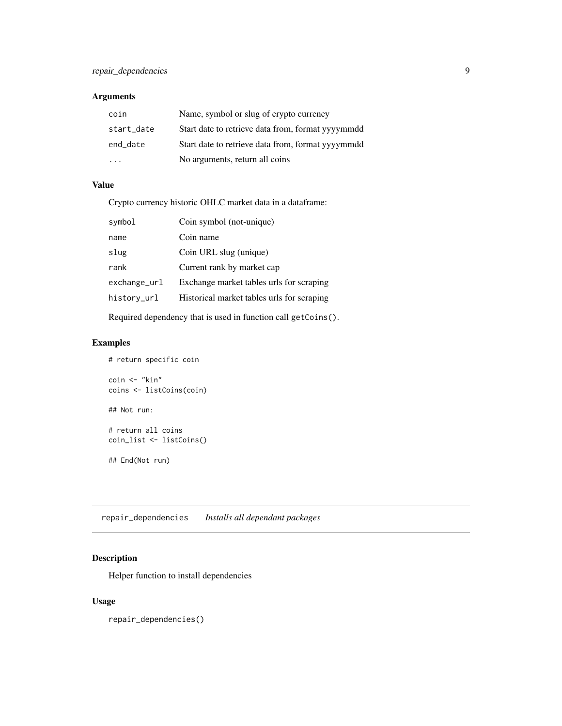#### <span id="page-8-0"></span>Arguments

| coin       | Name, symbol or slug of crypto currency           |
|------------|---------------------------------------------------|
| start_date | Start date to retrieve data from, format yyyymmdd |
| end date   | Start date to retrieve data from, format yyyymmdd |
|            | No arguments, return all coins                    |

### Value

Crypto currency historic OHLC market data in a dataframe:

| symbol          | Coin symbol (not-unique)                   |
|-----------------|--------------------------------------------|
| name            | Coin name                                  |
| slug            | Coin URL slug (unique)                     |
| rank            | Current rank by market cap                 |
| $exchange\_url$ | Exchange market tables urls for scraping   |
| history_url     | Historical market tables urls for scraping |
|                 |                                            |

Required dependency that is used in function call getCoins().

#### Examples

```
# return specific coin
coin <- "kin"
coins <- listCoins(coin)
## Not run:
# return all coins
coin_list <- listCoins()
## End(Not run)
```
repair\_dependencies *Installs all dependant packages*

#### Description

Helper function to install dependencies

#### Usage

repair\_dependencies()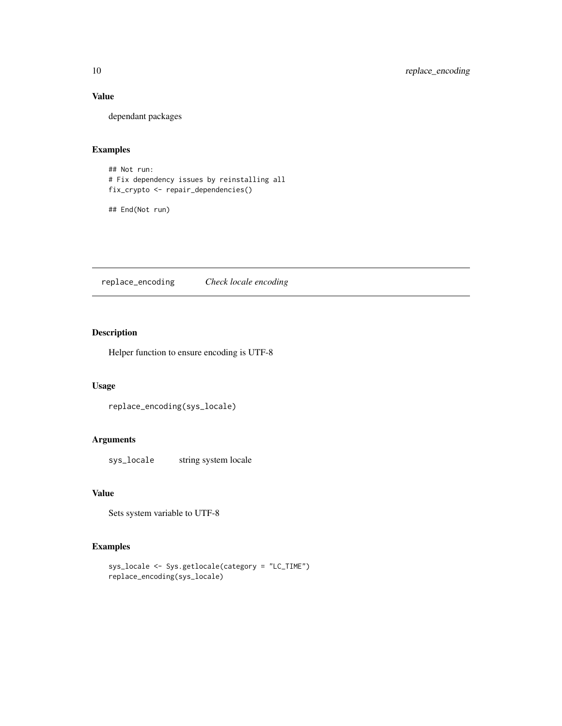#### Value

dependant packages

#### Examples

## Not run: # Fix dependency issues by reinstalling all fix\_crypto <- repair\_dependencies()

## End(Not run)

replace\_encoding *Check locale encoding*

#### Description

Helper function to ensure encoding is UTF-8

#### Usage

```
replace_encoding(sys_locale)
```
#### Arguments

sys\_locale string system locale

#### Value

Sets system variable to UTF-8

```
sys_locale <- Sys.getlocale(category = "LC_TIME")
replace_encoding(sys_locale)
```
<span id="page-9-0"></span>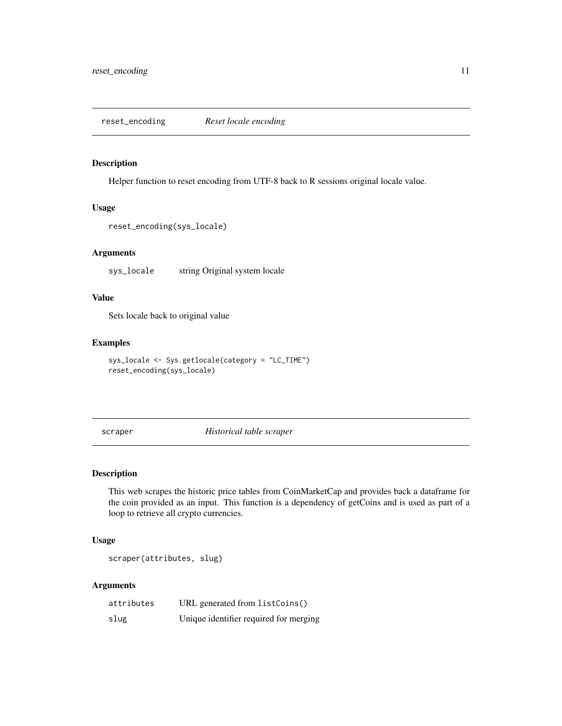<span id="page-10-0"></span>reset\_encoding *Reset locale encoding*

#### Description

Helper function to reset encoding from UTF-8 back to R sessions original locale value.

#### Usage

```
reset_encoding(sys_locale)
```
#### Arguments

sys\_locale string Original system locale

#### Value

Sets locale back to original value

#### Examples

```
sys_locale <- Sys.getlocale(category = "LC_TIME")
reset_encoding(sys_locale)
```
scraper *Historical table scraper*

#### Description

This web scrapes the historic price tables from CoinMarketCap and provides back a dataframe for the coin provided as an input. This function is a dependency of getCoins and is used as part of a loop to retrieve all crypto currencies.

#### Usage

scraper(attributes, slug)

#### Arguments

| attributes | URL generated from listCoins()         |
|------------|----------------------------------------|
| slug       | Unique identifier required for merging |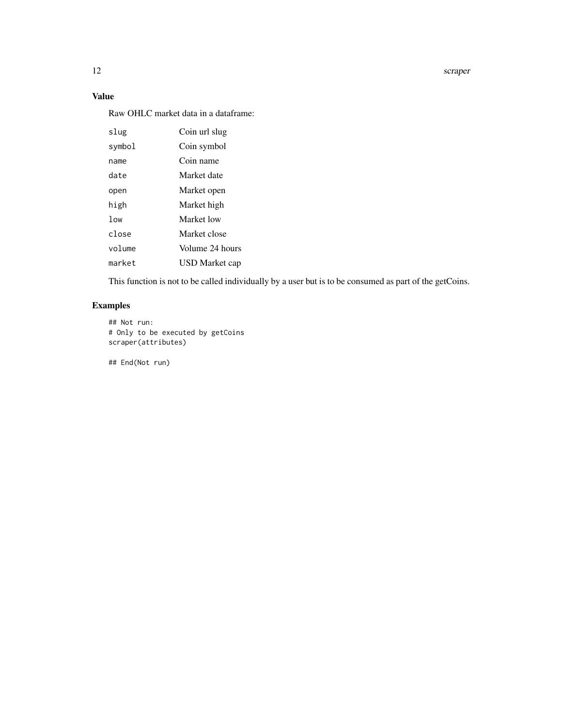12 scraper

#### Value

Raw OHLC market data in a dataframe:

| slug            | Coin url slug   |
|-----------------|-----------------|
| symbol          | Coin symbol     |
| name            | Coin name       |
| date            | Market date     |
| open            | Market open     |
| high            | Market high     |
| 1 <sub>ow</sub> | Market low      |
| close           | Market close    |
| volume          | Volume 24 hours |
| market          | USD Market cap  |

This function is not to be called individually by a user but is to be consumed as part of the getCoins.

#### Examples

```
## Not run:
# Only to be executed by getCoins
scraper(attributes)
```
## End(Not run)